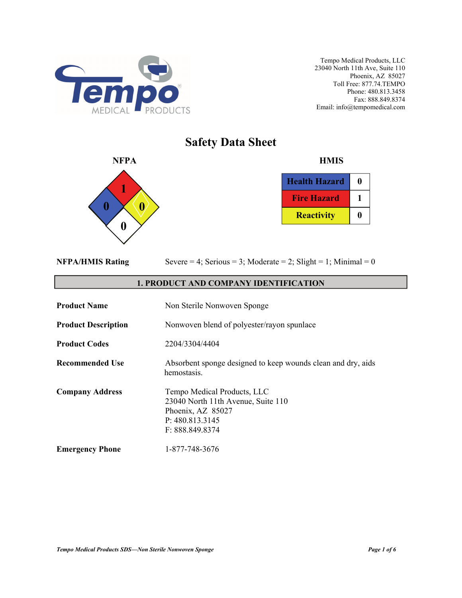

# **Safety Data Sheet**



| <b>Health Hazard</b> |  |
|----------------------|--|
| <b>Fire Hazard</b>   |  |
| <b>Reactivity</b>    |  |

|  | <b>NFPA/HMIS Rating</b> |
|--|-------------------------|
|  |                         |

Severe  $= 4$ ; Serious  $= 3$ ; Moderate  $= 2$ ; Slight  $= 1$ ; Minimal  $= 0$ 

#### **1. PRODUCT AND COMPANY IDENTIFICATION**

| <b>Product Name</b>        | Non Sterile Nonwoven Sponge                                                                                                  |  |
|----------------------------|------------------------------------------------------------------------------------------------------------------------------|--|
| <b>Product Description</b> | Nonwoven blend of polyester/rayon spunlace                                                                                   |  |
| <b>Product Codes</b>       | 2204/3304/4404                                                                                                               |  |
| <b>Recommended Use</b>     | Absorbent sponge designed to keep wounds clean and dry, aids<br>hemostasis.                                                  |  |
| <b>Company Address</b>     | Tempo Medical Products, LLC<br>23040 North 11th Avenue, Suite 110<br>Phoenix, AZ 85027<br>P: 480.813.3145<br>F: 888.849.8374 |  |
| <b>Emergency Phone</b>     | 1-877-748-3676                                                                                                               |  |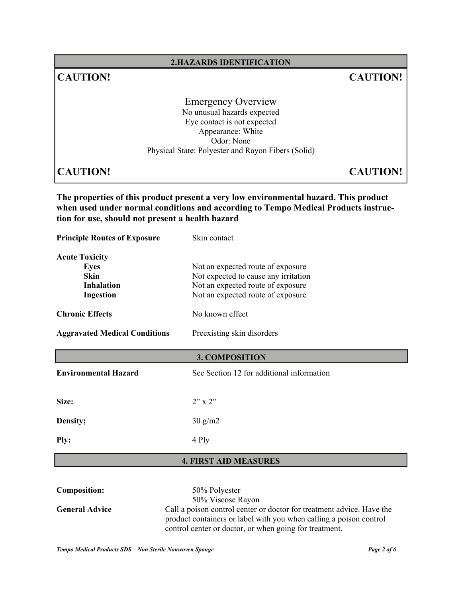#### **2.HAZARDS IDENTIFICATION**

## **CAUTION! CAUTION!**

Emergency Overview No unusual hazards expected Eye contact is not expected Appearance: White Odor: None Physical State: Polyester and Rayon Fibers (Solid)

**CAUTION! CAUTION!**

**The properties of this product present a very low environmental hazard. This product when used under normal conditions and according to Tempo Medical Products instruction for use, should not present a health hazard** 

**Principle Routes of Exposure** Skin contact **Acute Toxicity Eyes** Not an expected route of exposure **Skin** Not expected to cause any irritation **Inhalation** Not an expected route of exposure **Ingestion** Not an expected route of exposure **Chronic Effects** No known effect **Aggravated Medical Conditions** Preexisting skin disorders **Environmental Hazard** See Section 12 for additional information **Size:** 2" x 2" **Density;** 30 g/m2 **Ply:** 4 Ply **Composition:** 50% Polyester 50% Viscose Rayon **General Advice** Call a poison control center or doctor for treatment advice. Have the product containers or label with you when calling a poison control **3. COMPOSITION 4. FIRST AID MEASURES** 

control center or doctor, or when going for treatment.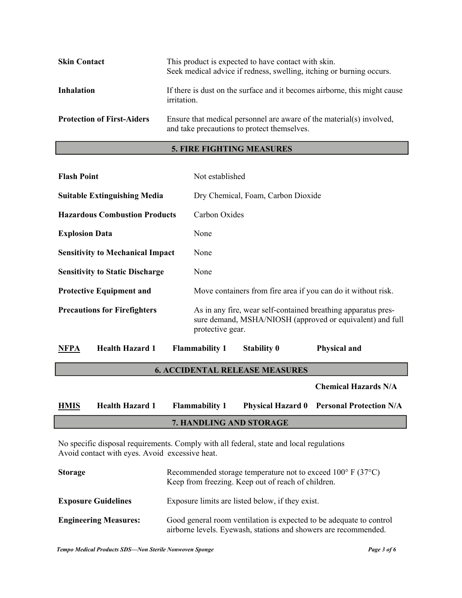| <b>Skin Contact</b>               | This product is expected to have contact with skin.<br>Seek medical advice if redness, swelling, itching or burning occurs. |
|-----------------------------------|-----------------------------------------------------------------------------------------------------------------------------|
| Inhalation                        | If there is dust on the surface and it becomes airborne, this might cause<br>irritation.                                    |
| <b>Protection of First-Aiders</b> | Ensure that medical personnel are aware of the material(s) involved,<br>and take precautions to protect themselves.         |

### **5. FIRE FIGHTING MEASURES**

| <b>Flash Point</b>                      | Not established                                                                                                                                |  |
|-----------------------------------------|------------------------------------------------------------------------------------------------------------------------------------------------|--|
| <b>Suitable Extinguishing Media</b>     | Dry Chemical, Foam, Carbon Dioxide                                                                                                             |  |
| <b>Hazardous Combustion Products</b>    | Carbon Oxides                                                                                                                                  |  |
| <b>Explosion Data</b>                   | None                                                                                                                                           |  |
| <b>Sensitivity to Mechanical Impact</b> | None                                                                                                                                           |  |
| <b>Sensitivity to Static Discharge</b>  | None                                                                                                                                           |  |
| <b>Protective Equipment and</b>         | Move containers from fire area if you can do it without risk.                                                                                  |  |
| <b>Precautions for Firefighters</b>     | As in any fire, wear self-contained breathing apparatus pres-<br>sure demand, MSHA/NIOSH (approved or equivalent) and full<br>protective gear. |  |
| <b>Health Hazard 1</b><br><b>NFPA</b>   | <b>Flammability 1</b><br><b>Stability 0</b><br><b>Physical and</b>                                                                             |  |

## **6. ACCIDENTAL RELEASE MEASURES**

 **Chemical Hazards N/A** 

| <b>HMIS</b>                    | <b>Health Hazard 1</b> | <b>Flammability 1</b> |  | <b>Physical Hazard 0 Personal Protection N/A</b> |
|--------------------------------|------------------------|-----------------------|--|--------------------------------------------------|
| <b>7. HANDLING AND STORAGE</b> |                        |                       |  |                                                  |

No specific disposal requirements. Comply with all federal, state and local regulations Avoid contact with eyes. Avoid excessive heat.

| <b>Storage</b>               | Recommended storage temperature not to exceed $100^{\circ}$ F (37 $^{\circ}$ C)<br>Keep from freezing. Keep out of reach of children.  |
|------------------------------|----------------------------------------------------------------------------------------------------------------------------------------|
| <b>Exposure Guidelines</b>   | Exposure limits are listed below, if they exist.                                                                                       |
| <b>Engineering Measures:</b> | Good general room ventilation is expected to be adequate to control<br>airborne levels. Eyewash, stations and showers are recommended. |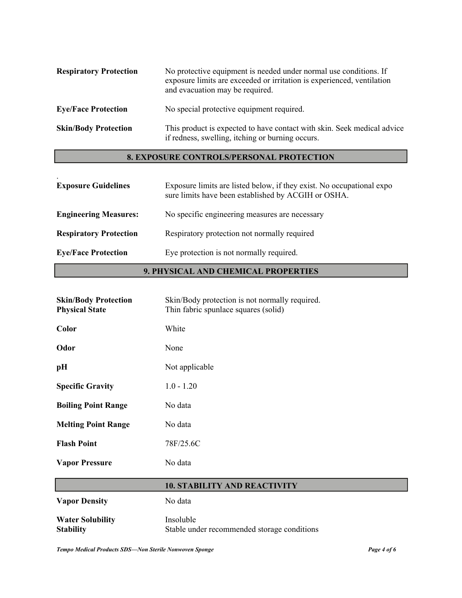| <b>Respiratory Protection</b> | No protective equipment is needed under normal use conditions. If<br>exposure limits are exceeded or irritation is experienced, ventilation<br>and evacuation may be required. |
|-------------------------------|--------------------------------------------------------------------------------------------------------------------------------------------------------------------------------|
| <b>Eye/Face Protection</b>    | No special protective equipment required.                                                                                                                                      |
| <b>Skin/Body Protection</b>   | This product is expected to have contact with skin. Seek medical advice<br>if redness, swelling, itching or burning occurs.                                                    |

### **8. EXPOSURE CONTROLS/PERSONAL PROTECTION**

| <b>Exposure Guidelines</b>    | Exposure limits are listed below, if they exist. No occupational expo<br>sure limits have been established by ACGIH or OSHA. |
|-------------------------------|------------------------------------------------------------------------------------------------------------------------------|
| <b>Engineering Measures:</b>  | No specific engineering measures are necessary                                                                               |
| <b>Respiratory Protection</b> | Respiratory protection not normally required                                                                                 |
| <b>Eye/Face Protection</b>    | Eye protection is not normally required.                                                                                     |

## **9. PHYSICAL AND CHEMICAL PROPERTIES**

| <b>Skin/Body Protection</b><br><b>Physical State</b> | Skin/Body protection is not normally required.<br>Thin fabric spunlace squares (solid) |
|------------------------------------------------------|----------------------------------------------------------------------------------------|
| Color                                                | White                                                                                  |
| Odor                                                 | None                                                                                   |
| pН                                                   | Not applicable                                                                         |
| <b>Specific Gravity</b>                              | $1.0 - 1.20$                                                                           |
| <b>Boiling Point Range</b>                           | No data                                                                                |
| <b>Melting Point Range</b>                           | No data                                                                                |
| <b>Flash Point</b>                                   | 78F/25.6C                                                                              |
| <b>Vapor Pressure</b>                                | No data                                                                                |
|                                                      | <b>10. STABILITY AND REACTIVITY</b>                                                    |
| <b>Vapor Density</b>                                 | No data                                                                                |
| <b>Water Solubility</b>                              | Insoluble                                                                              |

**Stability** Stable under recommended storage conditions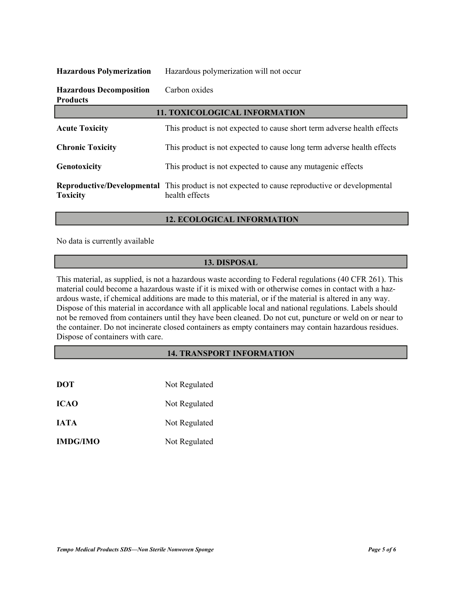| <b>Hazardous Polymerization</b>                   | Hazardous polymerization will not occur                                                                                 |  |  |
|---------------------------------------------------|-------------------------------------------------------------------------------------------------------------------------|--|--|
| <b>Hazardous Decomposition</b><br><b>Products</b> | Carbon oxides                                                                                                           |  |  |
| <b>11. TOXICOLOGICAL INFORMATION</b>              |                                                                                                                         |  |  |
| <b>Acute Toxicity</b>                             | This product is not expected to cause short term adverse health effects                                                 |  |  |
| <b>Chronic Toxicity</b>                           | This product is not expected to cause long term adverse health effects                                                  |  |  |
| Genotoxicity                                      | This product is not expected to cause any mutagenic effects                                                             |  |  |
| <b>Toxicity</b>                                   | <b>Reproductive/Developmental</b> This product is not expected to cause reproductive or developmental<br>health effects |  |  |

#### **12. ECOLOGICAL INFORMATION**

#### No data is currently available

#### **13. DISPOSAL**

This material, as supplied, is not a hazardous waste according to Federal regulations (40 CFR 261). This material could become a hazardous waste if it is mixed with or otherwise comes in contact with a hazardous waste, if chemical additions are made to this material, or if the material is altered in any way. Dispose of this material in accordance with all applicable local and national regulations. Labels should not be removed from containers until they have been cleaned. Do not cut, puncture or weld on or near to the container. Do not incinerate closed containers as empty containers may contain hazardous residues. Dispose of containers with care.

#### **14. TRANSPORT INFORMATION**

| <b>DOT</b>      | Not Regulated |
|-----------------|---------------|
| <b>ICAO</b>     | Not Regulated |
| <b>JATA</b>     | Not Regulated |
| <b>IMDG/IMO</b> | Not Regulated |